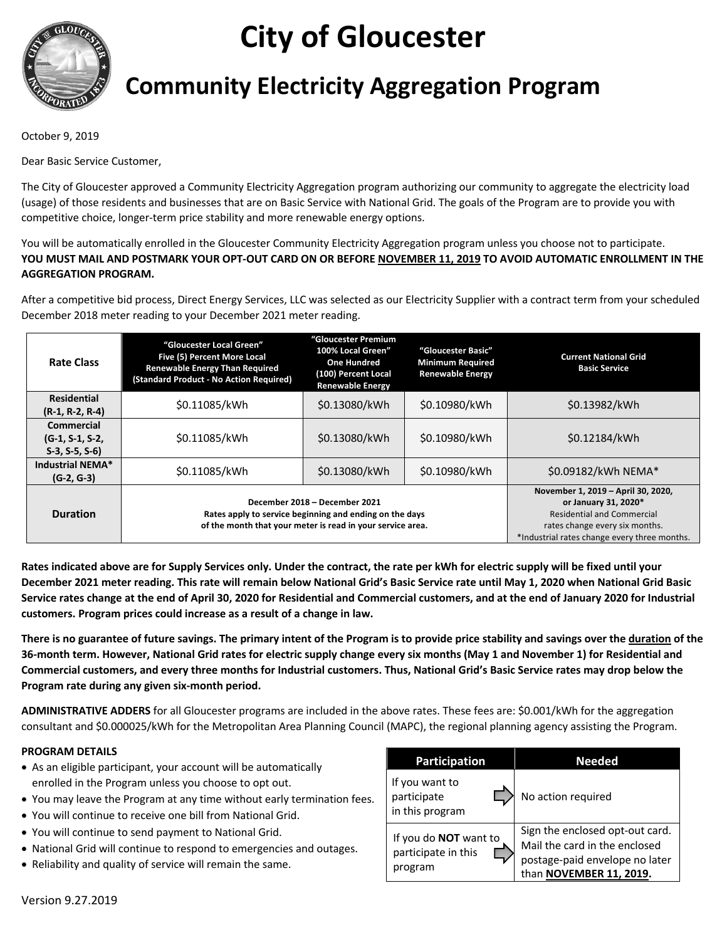

# **City of Gloucester**

# **Community Electricity Aggregation Program**

October 9, 2019

Dear Basic Service Customer,

The City of Gloucester approved a Community Electricity Aggregation program authorizing our community to aggregate the electricity load (usage) of those residents and businesses that are on Basic Service with National Grid. The goals of the Program are to provide you with competitive choice, longer-term price stability and more renewable energy options.

You will be automatically enrolled in the Gloucester Community Electricity Aggregation program unless you choose not to participate. **YOU MUST MAIL AND POSTMARK YOUR OPT-OUT CARD ON OR BEFORE NOVEMBER 11, 2019 TO AVOID AUTOMATIC ENROLLMENT IN THE AGGREGATION PROGRAM.**

After a competitive bid process, Direct Energy Services, LLC was selected as our Electricity Supplier with a contract term from your scheduled December 2018 meter reading to your December 2021 meter reading.

| <b>Rate Class</b>                                  | "Gloucester Local Green"<br>Five (5) Percent More Local<br><b>Renewable Energy Than Required</b><br>(Standard Product - No Action Required)            | "Gloucester Premium<br>100% Local Green"<br><b>One Hundred</b><br>(100) Percent Local<br><b>Renewable Energy</b> | "Gloucester Basic"<br><b>Minimum Required</b><br><b>Renewable Energy</b> | <b>Current National Grid</b><br><b>Basic Service</b>                                                                                                                              |
|----------------------------------------------------|--------------------------------------------------------------------------------------------------------------------------------------------------------|------------------------------------------------------------------------------------------------------------------|--------------------------------------------------------------------------|-----------------------------------------------------------------------------------------------------------------------------------------------------------------------------------|
| <b>Residential</b><br>$(R-1, R-2, R-4)$            | \$0.11085/kWh                                                                                                                                          | \$0.13080/kWh                                                                                                    | \$0.10980/kWh                                                            | \$0.13982/kWh                                                                                                                                                                     |
| Commercial<br>$(G-1, S-1, S-2)$<br>$S-3, S-5, S-6$ | \$0.11085/kWh                                                                                                                                          | \$0.13080/kWh                                                                                                    | \$0.10980/kWh                                                            | \$0.12184/kWh                                                                                                                                                                     |
| Industrial NEMA*<br>$(G-2, G-3)$                   | \$0.11085/kWh                                                                                                                                          | \$0.13080/kWh                                                                                                    | \$0.10980/kWh                                                            | \$0.09182/kWh NEMA*                                                                                                                                                               |
| <b>Duration</b>                                    | December 2018 - December 2021<br>Rates apply to service beginning and ending on the days<br>of the month that your meter is read in your service area. |                                                                                                                  |                                                                          | November 1, 2019 - April 30, 2020,<br>or January 31, 2020*<br><b>Residential and Commercial</b><br>rates change every six months.<br>*Industrial rates change every three months. |

**Rates indicated above are for Supply Services only. Under the contract, the rate per kWh for electric supply will be fixed until your December 2021 meter reading. This rate will remain below National Grid's Basic Service rate until May 1, 2020 when National Grid Basic Service rates change at the end of April 30, 2020 for Residential and Commercial customers, and at the end of January 2020 for Industrial customers. Program prices could increase as a result of a change in law.**

**There is no guarantee of future savings. The primary intent of the Program is to provide price stability and savings over the duration of the 36-month term. However, National Grid rates for electric supply change every six months (May 1 and November 1) for Residential and Commercial customers, and every three months for Industrial customers. Thus, National Grid's Basic Service rates may drop below the Program rate during any given six-month period.**

**ADMINISTRATIVE ADDERS** for all Gloucester programs are included in the above rates. These fees are: \$0.001/kWh for the aggregation consultant and \$0.000025/kWh for the Metropolitan Area Planning Council (MAPC), the regional planning agency assisting the Program.

#### **PROGRAM DETAILS**

- As an eligible participant, your account will be automatically enrolled in the Program unless you choose to opt out.
- You may leave the Program at any time without early termination fees.
- You will continue to receive one bill from National Grid.
- You will continue to send payment to National Grid.
- National Grid will continue to respond to emergencies and outages.
- Reliability and quality of service will remain the same.

| <b>Participation</b>                                           | <b>Needed</b>                                                                                                                 |  |  |
|----------------------------------------------------------------|-------------------------------------------------------------------------------------------------------------------------------|--|--|
| If you want to<br>participate<br>in this program               | No action required                                                                                                            |  |  |
| If you do <b>NOT</b> want to<br>participate in this<br>program | Sign the enclosed opt-out card.<br>Mail the card in the enclosed<br>postage-paid envelope no later<br>than NOVEMBER 11, 2019. |  |  |